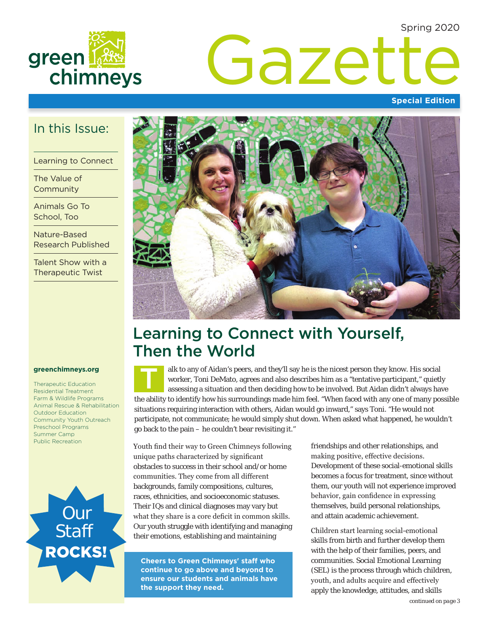Spring 2020



# Gazette

#### **Special Edition**

### In this Issue:

Learning to Connect

The Value of **Community** 

Animals Go To School, Too

Nature-Based Research Published

Talent Show with a Therapeutic Twist

#### **greenchimneys.org**

Therapeutic Education Residential Treatment Farm & Wildlife Programs Animal Rescue & Rehabilitation Outdoor Education Community Youth Outreach Preschool Programs Summer Camp





## Learning to Connect with Yourself, Then the World

alk to any of Aidan's peers, and they'll say he is the nicest person they know. His social worker, Toni DeMato, agrees and also describes him as a "tentative participant," quietly assessing a situation and then deciding how to be involved. But Aidan didn't always have the ability to identify how his surroundings made him feel. "When faced with any one of many possible situations requiring interaction with others, Aidan would go inward," says Toni. "He would not participate, not communicate; he would simply shut down. When asked what happened, he wouldn't go back to the pain – he couldn't bear revisiting it." T

Public Recreation<br>
Youth find their way to Green Chimneys following unique paths characterized by significant obstacles to success in their school and/or home communities. They come from all different backgrounds, family compositions, cultures, races, ethnicities, and socioeconomic statuses. Their IQs and clinical diagnoses may vary but what they share is a core deficit in common skills. Our youth struggle with identifying and managing their emotions, establishing and maintaining

> **Cheers to Green Chimneys' staff who continue to go above and beyond to ensure our students and animals have the support they need.**

friendships and other relationships, and making positive, effective decisions. Development of these social-emotional skills becomes a focus for treatment, since without them, our youth will not experience improved behavior, gain confidence in expressing themselves, build personal relationships, and attain academic achievement.

Children start learning social-emotional skills from birth and further develop them with the help of their families, peers, and communities. Social Emotional Learning (SEL) is the process through which children, youth, and adults acquire and effectively apply the knowledge, attitudes, and skills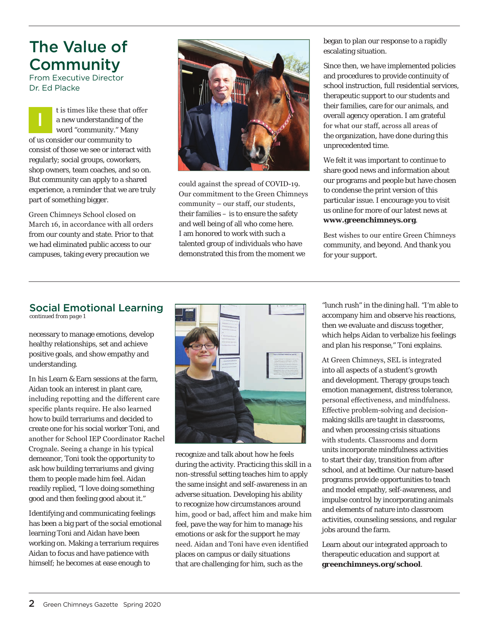## The Value of **Community**

From Executive Director Dr. Ed Placke

t is times like these that offer a new understanding of the word "community." Many of us consider our community to consist of those we see or interact with regularly; social groups, coworkers, shop owners, team coaches, and so on. But community can apply to a shared experience, a reminder that we are truly part of something bigger. I

Green Chimneys School closed on March 16, in accordance with all orders from our county and state. Prior to that we had eliminated public access to our campuses, taking every precaution we



could against the spread of COVID-19. Our commitment to the Green Chimneys community – our staff, our students, their families – is to ensure the safety and well being of all who come here. I am honored to work with such a talented group of individuals who have demonstrated this from the moment we

began to plan our response to a rapidly escalating situation.

Since then, we have implemented policies and procedures to provide continuity of school instruction, full residential services, therapeutic support to our students and their families, care for our animals, and overall agency operation. I am grateful for what our staff, across all areas of the organization, have done during this unprecedented time.

We felt it was important to continue to share good news and information about our programs and people but have chosen to condense the print version of this particular issue. I encourage you to visit us online for more of our latest news at **[www.greenchimneys.org](http://www.greenchimneys.org/news)**.

Best wishes to our entire Green Chimneys community, and beyond. And thank you for your support.

#### Social Emotional Learning

*continued from page 1*

necessary to manage emotions, develop healthy relationships, set and achieve positive goals, and show empathy and understanding.

In his Learn & Earn sessions at the farm, Aidan took an interest in plant care, including repotting and the different care specific plants require. He also learned how to build terrariums and decided to create one for his social worker Toni, and another for School IEP Coordinator Rachel Crognale. Seeing a change in his typical demeanor, Toni took the opportunity to ask how building terrariums and giving them to people made him feel. Aidan readily replied, "I love doing something good and then feeling good about it."

Identifying and communicating feelings has been a big part of the social emotional learning Toni and Aidan have been working on. Making a terrarium requires Aidan to focus and have patience with himself; he becomes at ease enough to



recognize and talk about how he feels during the activity. Practicing this skill in a non-stressful setting teaches him to apply the same insight and self-awareness in an adverse situation. Developing his ability to recognize how circumstances around him, good or bad, affect him and make him feel, pave the way for him to manage his emotions or ask for the support he may need. Aidan and Toni have even identified places on campus or daily situations that are challenging for him, such as the

"lunch rush" in the dining hall. "I'm able to accompany him and observe his reactions, then we evaluate and discuss together, which helps Aidan to verbalize his feelings and plan his response," Toni explains.

At Green Chimneys, SEL is integrated into all aspects of a student's growth and development. Therapy groups teach emotion management, distress tolerance, personal effectiveness, and mindfulness. Effective problem-solving and decisionmaking skills are taught in classrooms, and when processing crisis situations with students. Classrooms and dorm units incorporate mindfulness activities to start their day, transition from after school, and at bedtime. Our nature-based programs provide opportunities to teach and model empathy, self-awareness, and impulse control by incorporating animals and elements of nature into classroom activities, counseling sessions, and regular jobs around the farm.

Learn about our integrated approach to therapeutic education and support at **[greenchimneys.org/school](www.greenchimneys.org/school)**.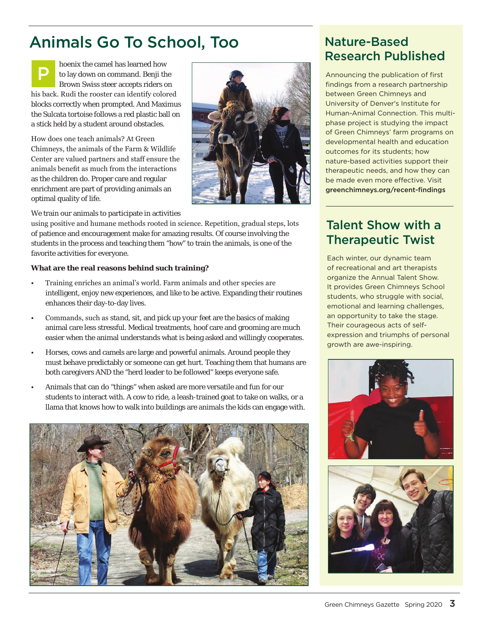# Animals Go To School, Too

hoenix the camel has learned how to lay down on command. Benji the Brown Swiss steer accepts riders on his back. Rudi the rooster can identify colored blocks correctly when prompted. And Maximus the Sulcata tortoise follows a red plastic ball on a stick held by a student around obstacles. P

How does one teach animals? At Green Chimneys, the animals of the Farm & Wildlife Center are valued partners and staff ensure the animals benefit as much from the interactions as the children do. Proper care and regular enrichment are part of providing animals an optimal quality of life.



We train our animals to participate in activities

using positive and humane methods rooted in science. Repetition, gradual steps, lots of patience and encouragement make for amazing results. Of course involving the students in the process and teaching them "how" to train the animals, is one of the favorite activities for everyone.

#### **What are the real reasons behind such training?**

- Training enriches an animal's world. Farm animals and other species are intelligent, enjoy new experiences, and like to be active. Expanding their routines enhances their day-to-day lives.
- Commands, such as *stand, sit*, and *pick up your feet* are the basics of making animal care less stressful. Medical treatments, hoof care and grooming are much easier when the animal understands what is being asked and willingly cooperates.
- Horses, cows and camels are large and powerful animals. Around people they must behave predictably or someone can get hurt. Teaching them that humans are both caregivers AND the "herd leader to be followed" keeps everyone safe.
- Animals that can do "things" when asked are more versatile and fun for our students to interact with. A cow to ride, a leash-trained goat to take on walks, or a llama that knows how to walk into buildings are animals the kids can engage with.



## Nature-Based Research Published

Announcing the publication of first findings from a research partnership between Green Chimneys and University of Denver's Institute for Human-Animal Connection. This multiphase project is studying the impact of Green Chimneys' farm programs on developmental health and education outcomes for its students; how nature-based activities support their therapeutic needs, and how they can be made even more effective. Visit [greenchimneys.org/recent-findings](www.greenchimneys.org/recent-findings)

## Talent Show with a Therapeutic Twist

Each winter, our dynamic team of recreational and art therapists organize the Annual Talent Show. It provides Green Chimneys School students, who struggle with social, emotional and learning challenges, an opportunity to take the stage. Their courageous acts of selfexpression and triumphs of personal growth are awe-inspiring.